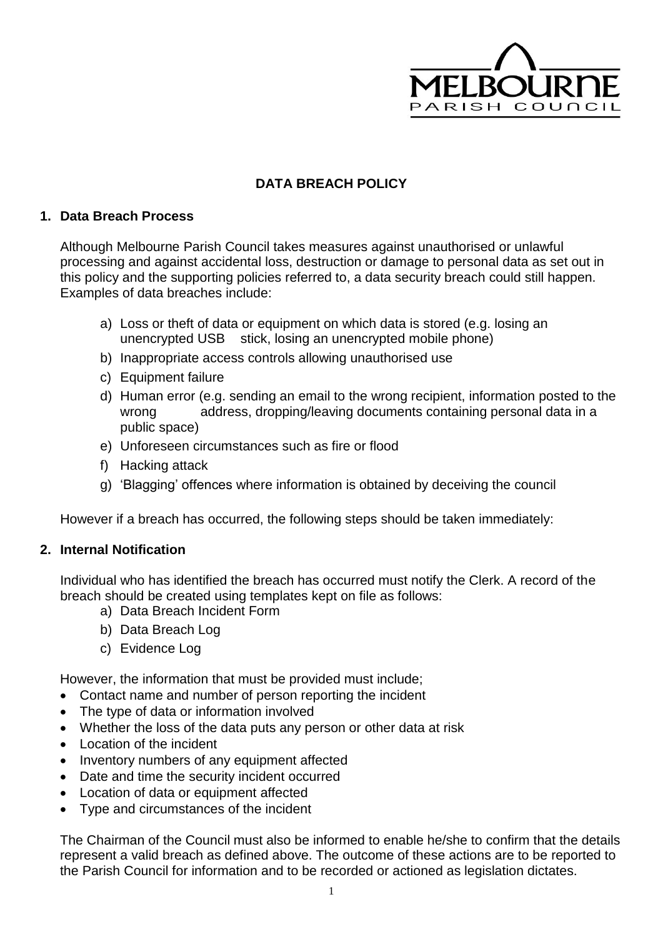

## **DATA BREACH POLICY**

## **1. Data Breach Process**

Although Melbourne Parish Council takes measures against unauthorised or unlawful processing and against accidental loss, destruction or damage to personal data as set out in this policy and the supporting policies referred to, a data security breach could still happen. Examples of data breaches include:

- a) Loss or theft of data or equipment on which data is stored (e.g. losing an unencrypted USB stick, losing an unencrypted mobile phone)
- b) Inappropriate access controls allowing unauthorised use
- c) Equipment failure
- d) Human error (e.g. sending an email to the wrong recipient, information posted to the wrong address, dropping/leaving documents containing personal data in a public space)
- e) Unforeseen circumstances such as fire or flood
- f) Hacking attack
- g) 'Blagging' offences where information is obtained by deceiving the council

However if a breach has occurred, the following steps should be taken immediately:

## **2. Internal Notification**

Individual who has identified the breach has occurred must notify the Clerk. A record of the breach should be created using templates kept on file as follows:

- a) Data Breach Incident Form
- b) Data Breach Log
- c) Evidence Log

However, the information that must be provided must include;

- Contact name and number of person reporting the incident
- The type of data or information involved
- Whether the loss of the data puts any person or other data at risk
- Location of the incident
- Inventory numbers of any equipment affected
- Date and time the security incident occurred
- Location of data or equipment affected
- Type and circumstances of the incident

The Chairman of the Council must also be informed to enable he/she to confirm that the details represent a valid breach as defined above. The outcome of these actions are to be reported to the Parish Council for information and to be recorded or actioned as legislation dictates.